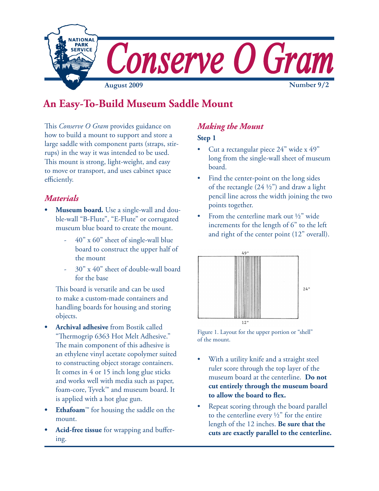

# **An Easy-To-Build Museum Saddle Mount**

This *Conserve O Gram* provides guidance on how to build a mount to support and store a large saddle with component parts (straps, stirrups) in the way it was intended to be used. This mount is strong, light-weight, and easy to move or transport, and uses cabinet space efficiently.

### *Materials*

- **• Museum board.** Use a single-wall and double-wall "B-Flute", "E-Flute" or corrugated museum blue board to create the mount.
	- 40" x 60" sheet of single-wall blue board to construct the upper half of the mount
	- 30" x 40" sheet of double-wall board for the base

This board is versatile and can be used to make a custom-made containers and handling boards for housing and storing objects.

- **• Archival adhesive** from Bostik called "Thermogrip 6363 Hot Melt Adhesive." The main component of this adhesive is an ethylene vinyl acetate copolymer suited to constructing object storage containers. It comes in 4 or 15 inch long glue sticks and works well with media such as paper, foam-core, Tyvek™ and museum board. It is applied with a hot glue gun.
- **• Ethafoam**™ for housing the saddle on the mount.
- **• Acid-free tissue** for wrapping and buffering.

## *Making the Mount*

#### **Step 1**

- • Cut a rectangular piece 24" wide x 49" long from the single-wall sheet of museum board.
- • Find the center-point on the long sides of the rectangle  $(24 \frac{1}{2})$  and draw a light pencil line across the width joining the two points together.
- • From the centerline mark out ½" wide increments for the length of 6" to the left and right of the center point (12" overall).



Figure 1. Layout for the upper portion or "shell" of the mount.

- With a utility knife and a straight steel ruler score through the top layer of the museum board at the centerline. **Do not cut entirely through the museum board to allow the board to flex.**
- Repeat scoring through the board parallel to the centerline every  $\frac{1}{2}$  for the entire length of the 12 inches. **Be sure that the cuts are exactly parallel to the centerline.**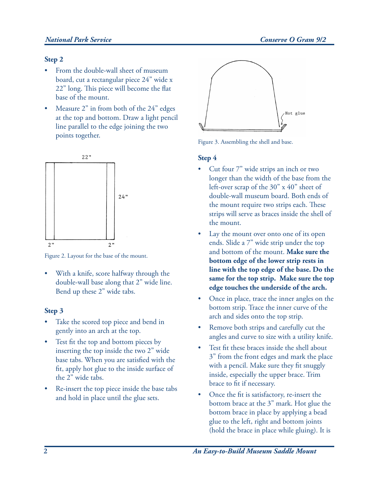#### *National Park Service Conserve O Gram 9/2*

#### **Step 2**

- • From the double-wall sheet of museum board, cut a rectangular piece 24" wide x 22" long. This piece will become the flat base of the mount.
- • Measure 2" in from both of the 24" edges at the top and bottom. Draw a light pencil line parallel to the edge joining the two points together.



Figure 2. Layout for the base of the mount.

• With a knife, score halfway through the double-wall base along that 2" wide line. Bend up these 2" wide tabs.

#### **Step 3**

- • Take the scored top piece and bend in gently into an arch at the top.
- • Test fit the top and bottom pieces by inserting the top inside the two 2" wide base tabs. When you are satisfied with the fit, apply hot glue to the inside surface of the 2" wide tabs.
- • Re-insert the top piece inside the base tabs and hold in place until the glue sets.



Figure 3. Assembling the shell and base.

#### **Step 4**

- • Cut four 7" wide strips an inch or two longer than the width of the base from the left-over scrap of the 30" x 40" sheet of double-wall museum board. Both ends of the mount require two strips each. These strips will serve as braces inside the shell of the mount.
- • Lay the mount over onto one of its open ends. Slide a 7" wide strip under the top and bottom of the mount. **Make sure the bottom edge of the lower strip rests in line with the top edge of the base. Do the same for the top strip. Make sure the top edge touches the underside of the arch.**
- • Once in place, trace the inner angles on the bottom strip. Trace the inner curve of the arch and sides onto the top strip.
- • Remove both strips and carefully cut the angles and curve to size with a utility knife.
- • Test fit these braces inside the shell about 3" from the front edges and mark the place with a pencil. Make sure they fit snuggly inside, especially the upper brace. Trim brace to fit if necessary.
- • Once the fit is satisfactory, re-insert the bottom brace at the 3" mark. Hot glue the bottom brace in place by applying a bead glue to the left, right and bottom joints (hold the brace in place while gluing). It is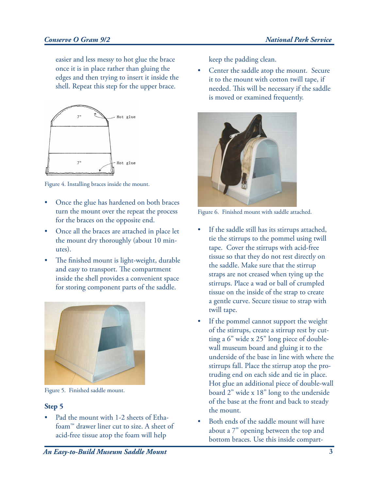easier and less messy to hot glue the brace once it is in place rather than gluing the edges and then trying to insert it inside the shell. Repeat this step for the upper brace.



Figure 4. Installing braces inside the mount.

- • Once the glue has hardened on both braces turn the mount over the repeat the process for the braces on the opposite end.
- • Once all the braces are attached in place let the mount dry thoroughly (about 10 minutes).
- • The finished mount is light-weight, durable and easy to transport. The compartment inside the shell provides a convenient space for storing component parts of the saddle.



Figure 5. Finished saddle mount.

#### **Step 5**

• Pad the mount with 1-2 sheets of Ethafoam™ drawer liner cut to size. A sheet of acid-free tissue atop the foam will help

keep the padding clean.

• Center the saddle atop the mount. Secure it to the mount with cotton twill tape, if needed. This will be necessary if the saddle is moved or examined frequently.



Figure 6. Finished mount with saddle attached.

- • If the saddle still has its stirrups attached, tie the stirrups to the pommel using twill tape. Cover the stirrups with acid-free tissue so that they do not rest directly on the saddle. Make sure that the stirrup straps are not creased when tying up the stirrups. Place a wad or ball of crumpled tissue on the inside of the strap to create a gentle curve. Secure tissue to strap with twill tape.
- • If the pommel cannot support the weight of the stirrups, create a stirrup rest by cutting a 6" wide x 25" long piece of doublewall museum board and gluing it to the underside of the base in line with where the stirrups fall. Place the stirrup atop the protruding end on each side and tie in place. Hot glue an additional piece of double-wall board 2" wide x 18" long to the underside of the base at the front and back to steady the mount.
- • Both ends of the saddle mount will have about a 7" opening between the top and bottom braces. Use this inside compart-